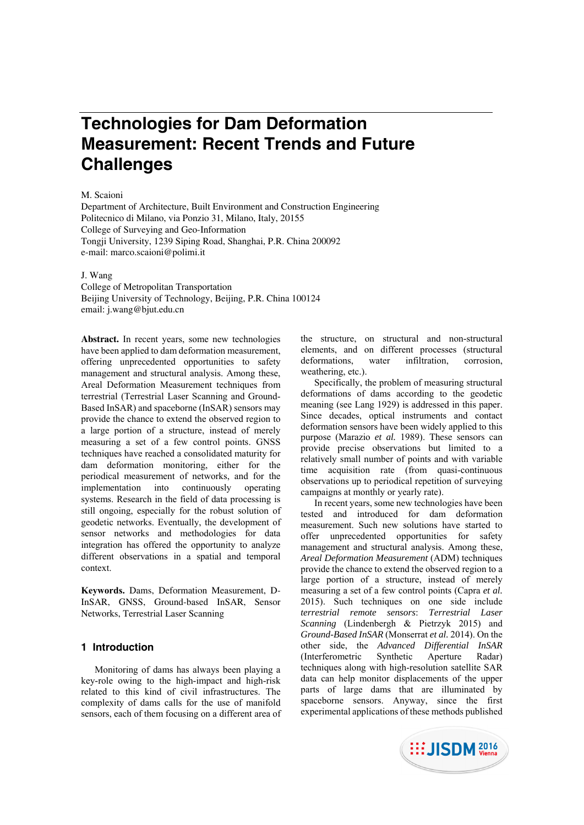# **Technologies for Dam Deformation Measurement: Recent Trends and Future Challenges**

#### M. Scaioni

Department of Architecture, Built Environment and Construction Engineering Politecnico di Milano, via Ponzio 31, Milano, Italy, 20155 College of Surveying and Geo-Information Tongji University, 1239 Siping Road, Shanghai, P.R. China 200092 e-mail: marco.scaioni@polimi.it

# J. Wang

College of Metropolitan Transportation Beijing University of Technology, Beijing, P.R. China 100124 email: j.wang@bjut.edu.cn

**Abstract.** In recent years, some new technologies have been applied to dam deformation measurement, offering unprecedented opportunities to safety management and structural analysis. Among these, Areal Deformation Measurement techniques from terrestrial (Terrestrial Laser Scanning and Ground-Based InSAR) and spaceborne (InSAR) sensors may provide the chance to extend the observed region to a large portion of a structure, instead of merely measuring a set of a few control points. GNSS techniques have reached a consolidated maturity for dam deformation monitoring, either for the periodical measurement of networks, and for the implementation into continuously operating systems. Research in the field of data processing is still ongoing, especially for the robust solution of geodetic networks. Eventually, the development of sensor networks and methodologies for data integration has offered the opportunity to analyze different observations in a spatial and temporal context.

**Keywords.** Dams, Deformation Measurement, D-InSAR, GNSS, Ground-based InSAR, Sensor Networks, Terrestrial Laser Scanning

#### **1 Introduction**

Monitoring of dams has always been playing a key-role owing to the high-impact and high-risk related to this kind of civil infrastructures. The complexity of dams calls for the use of manifold sensors, each of them focusing on a different area of

the structure, on structural and non-structural elements, and on different processes (structural deformations, water infiltration, corrosion, weathering, etc.).

Specifically, the problem of measuring structural deformations of dams according to the geodetic meaning (see Lang 1929) is addressed in this paper. Since decades, optical instruments and contact deformation sensors have been widely applied to this purpose (Marazio *et al.* 1989). These sensors can provide precise observations but limited to a relatively small number of points and with variable time acquisition rate (from quasi-continuous observations up to periodical repetition of surveying campaigns at monthly or yearly rate).

In recent years, some new technologies have been tested and introduced for dam deformation measurement. Such new solutions have started to offer unprecedented opportunities for safety management and structural analysis. Among these, *Areal Deformation Measurement* (ADM) techniques provide the chance to extend the observed region to a large portion of a structure, instead of merely measuring a set of a few control points (Capra *et al.* 2015). Such techniques on one side include *terrestrial remote sensors*: *Terrestrial Laser Scanning* (Lindenbergh & Pietrzyk 2015) and *Ground-Based InSAR* (Monserrat *et al.* 2014). On the other side, the *Advanced Differential InSAR* (Interferometric Synthetic Aperture Radar) techniques along with high-resolution satellite SAR data can help monitor displacements of the upper parts of large dams that are illuminated by spaceborne sensors. Anyway, since the first experimental applications of these methods published

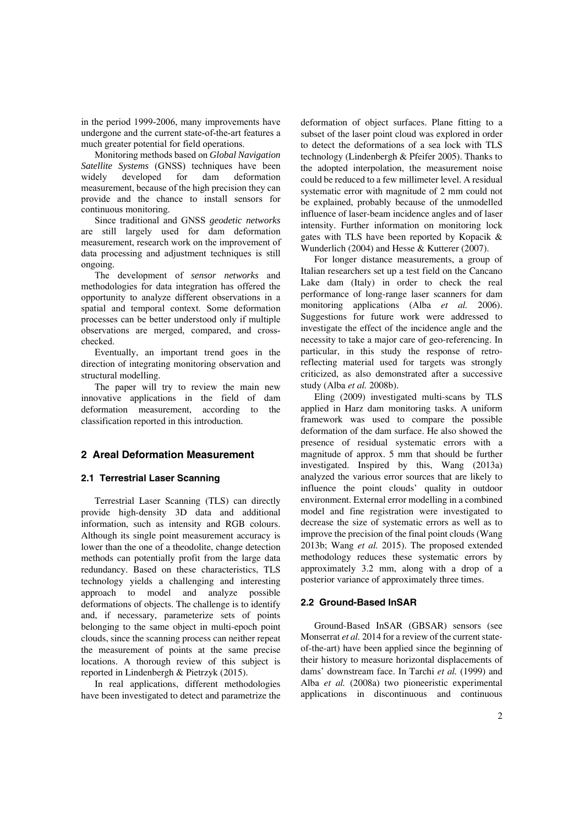in the period 1999-2006, many improvements have undergone and the current state-of-the-art features a much greater potential for field operations.

Monitoring methods based on *Global Navigation Satellite Systems* (GNSS) techniques have been widely developed for dam deformation measurement, because of the high precision they can provide and the chance to install sensors for continuous monitoring.

Since traditional and GNSS *geodetic networks* are still largely used for dam deformation measurement, research work on the improvement of data processing and adjustment techniques is still ongoing.

The development of *sensor networks* and methodologies for data integration has offered the opportunity to analyze different observations in a spatial and temporal context. Some deformation processes can be better understood only if multiple observations are merged, compared, and crosschecked.

Eventually, an important trend goes in the direction of integrating monitoring observation and structural modelling.

The paper will try to review the main new innovative applications in the field of dam deformation measurement, according to the classification reported in this introduction.

# **2 Areal Deformation Measurement**

#### **2.1 Terrestrial Laser Scanning**

Terrestrial Laser Scanning (TLS) can directly provide high-density 3D data and additional information, such as intensity and RGB colours. Although its single point measurement accuracy is lower than the one of a theodolite, change detection methods can potentially profit from the large data redundancy. Based on these characteristics, TLS technology yields a challenging and interesting approach to model and analyze possible deformations of objects. The challenge is to identify and, if necessary, parameterize sets of points belonging to the same object in multi-epoch point clouds, since the scanning process can neither repeat the measurement of points at the same precise locations. A thorough review of this subject is reported in Lindenbergh & Pietrzyk (2015).

In real applications, different methodologies have been investigated to detect and parametrize the deformation of object surfaces. Plane fitting to a subset of the laser point cloud was explored in order to detect the deformations of a sea lock with TLS technology (Lindenbergh & Pfeifer 2005). Thanks to the adopted interpolation, the measurement noise could be reduced to a few millimeter level. A residual systematic error with magnitude of 2 mm could not be explained, probably because of the unmodelled influence of laser-beam incidence angles and of laser intensity. Further information on monitoring lock gates with TLS have been reported by Kopacik & Wunderlich (2004) and Hesse & Kutterer (2007).

For longer distance measurements, a group of Italian researchers set up a test field on the Cancano Lake dam (Italy) in order to check the real performance of long-range laser scanners for dam monitoring applications (Alba *et al.* 2006). Suggestions for future work were addressed to investigate the effect of the incidence angle and the necessity to take a major care of geo-referencing. In particular, in this study the response of retroreflecting material used for targets was strongly criticized, as also demonstrated after a successive study (Alba *et al.* 2008b).

Eling (2009) investigated multi-scans by TLS applied in Harz dam monitoring tasks. A uniform framework was used to compare the possible deformation of the dam surface. He also showed the presence of residual systematic errors with a magnitude of approx. 5 mm that should be further investigated. Inspired by this, Wang (2013a) analyzed the various error sources that are likely to influence the point clouds' quality in outdoor environment. External error modelling in a combined model and fine registration were investigated to decrease the size of systematic errors as well as to improve the precision of the final point clouds (Wang 2013b; Wang *et al.* 2015). The proposed extended methodology reduces these systematic errors by approximately 3.2 mm, along with a drop of a posterior variance of approximately three times.

#### **2.2 Ground-Based InSAR**

Ground-Based InSAR (GBSAR) sensors (see Monserrat *et al.* 2014 for a review of the current stateof-the-art) have been applied since the beginning of their history to measure horizontal displacements of dams' downstream face. In Tarchi *et al.* (1999) and Alba *et al.* (2008a) two pioneeristic experimental applications in discontinuous and continuous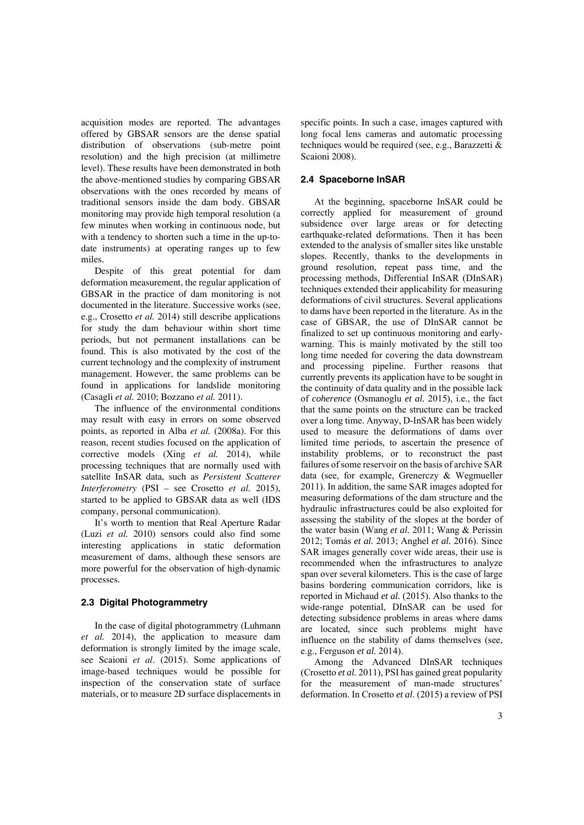acquisition modes are reported. The advantages offered by GBSAR sensors are the dense spatial distribution of observations (sub-metre point resolution) and the high precision (at millimetre level). These results have been demonstrated in both the above-mentioned studies by comparing GBSAR observations with the ones recorded by means of traditional sensors inside the dam body. GBSAR monitoring may provide high temporal resolution (a few minutes when working in continuous node, but with a tendency to shorten such a time in the up-todate instruments) at operating ranges up to few miles.

Despite of this great potential for dam deformation measurement, the regular application of GBSAR in the practice of dam monitoring is not documented in the literature. Successive works (see, e.g., Crosetto *et al.* 2014) still describe applications for study the dam behaviour within short time periods, but not permanent installations can be found. This is also motivated by the cost of the current technology and the complexity of instrument management. However, the same problems can be found in applications for landslide monitoring (Casagli *et al.* 2010; Bozzano *et al.* 2011).

The influence of the environmental conditions may result with easy in errors on some observed points, as reported in Alba *et al.* (2008a). For this reason, recent studies focused on the application of corrective models (Xing *et al.* 2014), while processing techniques that are normally used with satellite InSAR data, such as *Persistent Scatterer Interferometry* (PSI – see Crosetto *et al.* 2015), started to be applied to GBSAR data as well (IDS company, personal communication).

It's worth to mention that Real Aperture Radar (Luzi *et al.* 2010) sensors could also find some interesting applications in static deformation measurement of dams, although these sensors are more powerful for the observation of high-dynamic processes.

#### **2.3 Digital Photogrammetry**

In the case of digital photogrammetry (Luhmann *et al.* 2014), the application to measure dam deformation is strongly limited by the image scale, see Scaioni *et al*. (2015). Some applications of image-based techniques would be possible for inspection of the conservation state of surface materials, or to measure 2D surface displacements in specific points. In such a case, images captured with long focal lens cameras and automatic processing techniques would be required (see, e.g., Barazzetti & Scaioni 2008).

## **2.4 Spaceborne InSAR**

At the beginning, spaceborne InSAR could be correctly applied for measurement of ground subsidence over large areas or for detecting earthquake-related deformations. Then it has been extended to the analysis of smaller sites like unstable slopes. Recently, thanks to the developments in ground resolution, repeat pass time, and the processing methods, Differential InSAR (DInSAR) techniques extended their applicability for measuring deformations of civil structures. Several applications to dams have been reported in the literature. As in the case of GBSAR, the use of DInSAR cannot be finalized to set up continuous monitoring and earlywarning. This is mainly motivated by the still too long time needed for covering the data downstream and processing pipeline. Further reasons that currently prevents its application have to be sought in the continuity of data quality and in the possible lack of *coherence* (Osmanoglu *et al.* 2015), i.e., the fact that the same points on the structure can be tracked over a long time. Anyway, D-InSAR has been widely used to measure the deformations of dams over limited time periods, to ascertain the presence of instability problems, or to reconstruct the past failures of some reservoir on the basis of archive SAR data (see, for example, Grenerczy & Wegmueller 2011). In addition, the same SAR images adopted for measuring deformations of the dam structure and the hydraulic infrastructures could be also exploited for assessing the stability of the slopes at the border of the water basin (Wang *et al.* 2011; Wang & Perissin 2012; Tomás *et al.* 2013; Anghel *et al.* 2016). Since SAR images generally cover wide areas, their use is recommended when the infrastructures to analyze span over several kilometers. This is the case of large basins bordering communication corridors, like is reported in Michaud *et al.* (2015). Also thanks to the wide-range potential, DInSAR can be used for detecting subsidence problems in areas where dams are located, since such problems might have influence on the stability of dams themselves (see, e.g., Ferguson *et al.* 2014).

Among the Advanced DInSAR techniques (Crosetto *et al.* 2011), PSI has gained great popularity for the measurement of man-made structures' deformation. In Crosetto *et al*. (2015) a review of PSI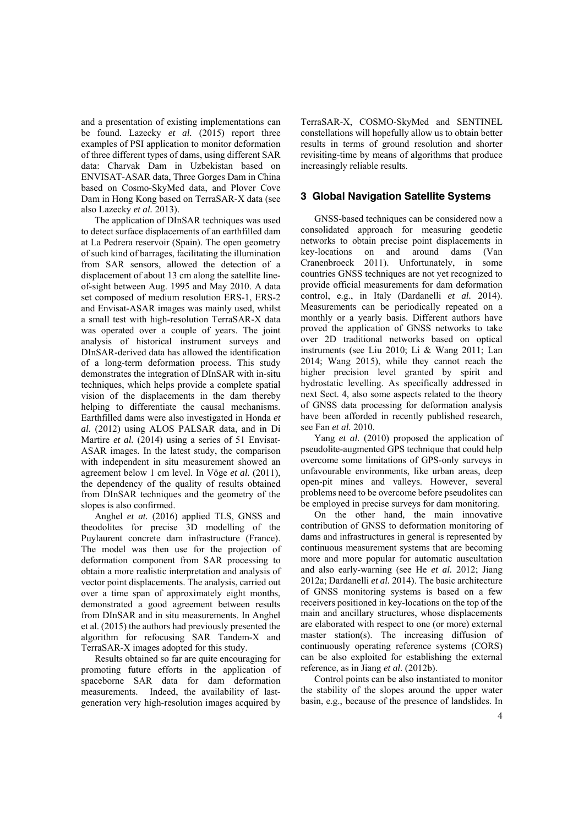and a presentation of existing implementations can be found. Lazecky *et al.* (2015) report three examples of PSI application to monitor deformation of three different types of dams, using different SAR data: Charvak Dam in Uzbekistan based on ENVISAT-ASAR data, Three Gorges Dam in China based on Cosmo-SkyMed data, and Plover Cove Dam in Hong Kong based on TerraSAR-X data (see also Lazecky *et al.* 2013).

The application of DInSAR techniques was used to detect surface displacements of an earthfilled dam at La Pedrera reservoir (Spain). The open geometry of such kind of barrages, facilitating the illumination from SAR sensors, allowed the detection of a displacement of about 13 cm along the satellite lineof-sight between Aug. 1995 and May 2010. A data set composed of medium resolution ERS-1, ERS-2 and Envisat-ASAR images was mainly used, whilst a small test with high-resolution TerraSAR-X data was operated over a couple of years. The joint analysis of historical instrument surveys and DInSAR-derived data has allowed the identification of a long-term deformation process. This study demonstrates the integration of DInSAR with in-situ techniques, which helps provide a complete spatial vision of the displacements in the dam thereby helping to differentiate the causal mechanisms. Earthfilled dams were also investigated in Honda *et al.* (2012) using ALOS PALSAR data, and in Di Martire *et al.* (2014) using a series of 51 Envisat-ASAR images. In the latest study, the comparison with independent in situ measurement showed an agreement below 1 cm level. In Vöge *et al.* (2011), the dependency of the quality of results obtained from DInSAR techniques and the geometry of the slopes is also confirmed.

Anghel *et at.* (2016) applied TLS, GNSS and theodolites for precise 3D modelling of the Puylaurent concrete dam infrastructure (France). The model was then use for the projection of deformation component from SAR processing to obtain a more realistic interpretation and analysis of vector point displacements. The analysis, carried out over a time span of approximately eight months, demonstrated a good agreement between results from DInSAR and in situ measurements. In Anghel et al. (2015) the authors had previously presented the algorithm for refocusing SAR Tandem-X and TerraSAR-X images adopted for this study.

Results obtained so far are quite encouraging for promoting future efforts in the application of spaceborne SAR data for dam deformation measurements. Indeed, the availability of lastgeneration very high-resolution images acquired by

TerraSAR-X, COSMO-SkyMed and SENTINEL constellations will hopefully allow us to obtain better results in terms of ground resolution and shorter revisiting-time by means of algorithms that produce increasingly reliable results.

## **3 Global Navigation Satellite Systems**

GNSS-based techniques can be considered now a consolidated approach for measuring geodetic networks to obtain precise point displacements in key-locations on and around dams (Van Cranenbroeck 2011). Unfortunately, in some countries GNSS techniques are not yet recognized to provide official measurements for dam deformation control, e.g., in Italy (Dardanelli *et al.* 2014). Measurements can be periodically repeated on a monthly or a yearly basis. Different authors have proved the application of GNSS networks to take over 2D traditional networks based on optical instruments (see Liu 2010; Li & Wang 2011; Lan 2014; Wang 2015), while they cannot reach the higher precision level granted by spirit and hydrostatic levelling. As specifically addressed in next Sect. 4, also some aspects related to the theory of GNSS data processing for deformation analysis have been afforded in recently published research, see Fan *et al.* 2010.

Yang *et al.* (2010) proposed the application of pseudolite-augmented GPS technique that could help overcome some limitations of GPS-only surveys in unfavourable environments, like urban areas, deep open-pit mines and valleys. However, several problems need to be overcome before pseudolites can be employed in precise surveys for dam monitoring.

On the other hand, the main innovative contribution of GNSS to deformation monitoring of dams and infrastructures in general is represented by continuous measurement systems that are becoming more and more popular for automatic auscultation and also early-warning (see He *et al.* 2012; Jiang 2012a; Dardanelli *et al.* 2014). The basic architecture of GNSS monitoring systems is based on a few receivers positioned in key-locations on the top of the main and ancillary structures, whose displacements are elaborated with respect to one (or more) external master station(s). The increasing diffusion of continuously operating reference systems (CORS) can be also exploited for establishing the external reference, as in Jiang *et al.* (2012b).

Control points can be also instantiated to monitor the stability of the slopes around the upper water basin, e.g., because of the presence of landslides. In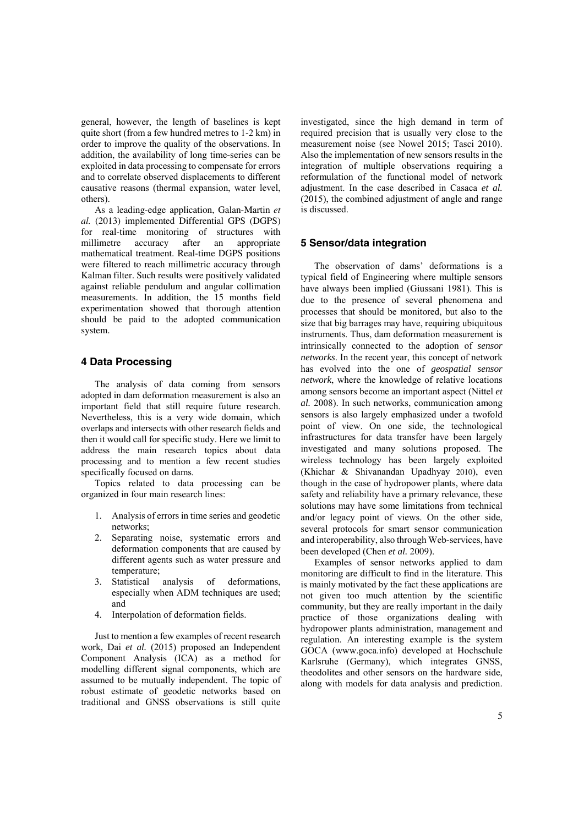general, however, the length of baselines is kept quite short (from a few hundred metres to 1-2 km) in order to improve the quality of the observations. In addition, the availability of long time-series can be exploited in data processing to compensate for errors and to correlate observed displacements to different causative reasons (thermal expansion, water level, others).

As a leading-edge application, Galan-Martin *et al.* (2013) implemented Differential GPS (DGPS) for real-time monitoring of structures with millimetre accuracy after an appropriate mathematical treatment. Real-time DGPS positions were filtered to reach millimetric accuracy through Kalman filter. Such results were positively validated against reliable pendulum and angular collimation measurements. In addition, the 15 months field experimentation showed that thorough attention should be paid to the adopted communication system.

# **4 Data Processing**

The analysis of data coming from sensors adopted in dam deformation measurement is also an important field that still require future research. Nevertheless, this is a very wide domain, which overlaps and intersects with other research fields and then it would call for specific study. Here we limit to address the main research topics about data processing and to mention a few recent studies specifically focused on dams.

Topics related to data processing can be organized in four main research lines:

- 1. Analysis of errors in time series and geodetic networks;
- 2. Separating noise, systematic errors and deformation components that are caused by different agents such as water pressure and temperature;
- 3. Statistical analysis of deformations, especially when ADM techniques are used; and
- 4. Interpolation of deformation fields.

Just to mention a few examples of recent research work, Dai *et al.* (2015) proposed an Independent Component Analysis (ICA) as a method for modelling different signal components, which are assumed to be mutually independent. The topic of robust estimate of geodetic networks based on traditional and GNSS observations is still quite

investigated, since the high demand in term of required precision that is usually very close to the measurement noise (see Nowel 2015; Tasci 2010). Also the implementation of new sensors results in the integration of multiple observations requiring a reformulation of the functional model of network adjustment. In the case described in Casaca *et al.*  (2015), the combined adjustment of angle and range is discussed.

#### **5 Sensor/data integration**

The observation of dams' deformations is a typical field of Engineering where multiple sensors have always been implied (Giussani 1981). This is due to the presence of several phenomena and processes that should be monitored, but also to the size that big barrages may have, requiring ubiquitous instruments. Thus, dam deformation measurement is intrinsically connected to the adoption of *sensor networks*. In the recent year, this concept of network has evolved into the one of *geospatial sensor network*, where the knowledge of relative locations among sensors become an important aspect (Nittel *et al.* 2008). In such networks, communication among sensors is also largely emphasized under a twofold point of view. On one side, the technological infrastructures for data transfer have been largely investigated and many solutions proposed. The wireless technology has been largely exploited (Khichar & Shivanandan Upadhyay 2010), even though in the case of hydropower plants, where data safety and reliability have a primary relevance, these solutions may have some limitations from technical and/or legacy point of views. On the other side, several protocols for smart sensor communication and interoperability, also through Web-services, have been developed (Chen *et al.* 2009).

Examples of sensor networks applied to dam monitoring are difficult to find in the literature. This is mainly motivated by the fact these applications are not given too much attention by the scientific community, but they are really important in the daily practice of those organizations dealing with hydropower plants administration, management and regulation. An interesting example is the system GOCA (www.goca.info) developed at Hochschule Karlsruhe (Germany), which integrates GNSS, theodolites and other sensors on the hardware side, along with models for data analysis and prediction.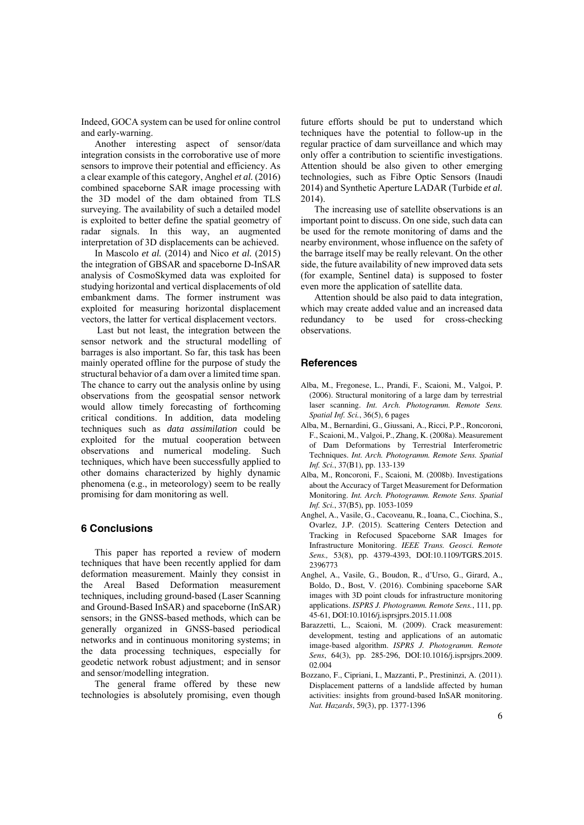Indeed, GOCA system can be used for online control and early-warning.

Another interesting aspect of sensor/data integration consists in the corroborative use of more sensors to improve their potential and efficiency. As a clear example of this category, Anghel *et al.* (2016) combined spaceborne SAR image processing with the 3D model of the dam obtained from TLS surveying. The availability of such a detailed model is exploited to better define the spatial geometry of radar signals. In this way, an augmented interpretation of 3D displacements can be achieved.

In Mascolo *et al.* (2014) and Nico *et al.* (2015) the integration of GBSAR and spaceborne D-InSAR analysis of CosmoSkymed data was exploited for studying horizontal and vertical displacements of old embankment dams. The former instrument was exploited for measuring horizontal displacement vectors, the latter for vertical displacement vectors.

 Last but not least, the integration between the sensor network and the structural modelling of barrages is also important. So far, this task has been mainly operated offline for the purpose of study the structural behavior of a dam over a limited time span. The chance to carry out the analysis online by using observations from the geospatial sensor network would allow timely forecasting of forthcoming critical conditions. In addition, data modeling techniques such as *data assimilation* could be exploited for the mutual cooperation between observations and numerical modeling. Such techniques, which have been successfully applied to other domains characterized by highly dynamic phenomena (e.g., in meteorology) seem to be really promising for dam monitoring as well.

#### **6 Conclusions**

This paper has reported a review of modern techniques that have been recently applied for dam deformation measurement. Mainly they consist in the Areal Based Deformation measurement techniques, including ground-based (Laser Scanning and Ground-Based InSAR) and spaceborne (InSAR) sensors; in the GNSS-based methods, which can be generally organized in GNSS-based periodical networks and in continuous monitoring systems; in the data processing techniques, especially for geodetic network robust adjustment; and in sensor and sensor/modelling integration.

The general frame offered by these new technologies is absolutely promising, even though

future efforts should be put to understand which techniques have the potential to follow-up in the regular practice of dam surveillance and which may only offer a contribution to scientific investigations. Attention should be also given to other emerging technologies, such as Fibre Optic Sensors (Inaudi 2014) and Synthetic Aperture LADAR (Turbide *et al.* 2014).

The increasing use of satellite observations is an important point to discuss. On one side, such data can be used for the remote monitoring of dams and the nearby environment, whose influence on the safety of the barrage itself may be really relevant. On the other side, the future availability of new improved data sets (for example, Sentinel data) is supposed to foster even more the application of satellite data.

Attention should be also paid to data integration, which may create added value and an increased data redundancy to be used for cross-checking observations.

### **References**

- Alba, M., Fregonese, L., Prandi, F., Scaioni, M., Valgoi, P. (2006). Structural monitoring of a large dam by terrestrial laser scanning. *Int. Arch. Photogramm. Remote Sens. Spatial Inf. Sci.*, 36(5), 6 pages
- Alba, M., Bernardini, G., Giussani, A., Ricci, P.P., Roncoroni, F., Scaioni, M., Valgoi, P., Zhang, K. (2008a). Measurement of Dam Deformations by Terrestrial Interferometric Techniques. *Int. Arch. Photogramm. Remote Sens. Spatial Inf. Sci.*, 37(B1), pp. 133-139
- Alba, M., Roncoroni, F., Scaioni, M. (2008b). Investigations about the Accuracy of Target Measurement for Deformation Monitoring. *Int. Arch. Photogramm. Remote Sens. Spatial Inf. Sci.*, 37(B5), pp. 1053-1059
- Anghel, A., Vasile, G., Cacoveanu, R., Ioana, C., Ciochina, S., Ovarlez, J.P. (2015). Scattering Centers Detection and Tracking in Refocused Spaceborne SAR Images for Infrastructure Monitoring. *IEEE Trans. Geosci. Remote Sens.,* 53(8), pp. 4379-4393, DOI:10.1109/TGRS.2015. 2396773
- Anghel, A., Vasile, G., Boudon, R., d'Urso, G., Girard, A., Boldo, D., Bost, V. (2016). Combining spaceborne SAR images with 3D point clouds for infrastructure monitoring applications. *ISPRS J. Photogramm. Remote Sens.*, 111, pp. 45-61, DOI:10.1016/j.isprsjprs.2015.11.008
- Barazzetti, L., Scaioni, M. (2009). Crack measurement: development, testing and applications of an automatic image-based algorithm. *ISPRS J. Photogramm. Remote Sens*, 64(3), pp. 285-296, DOI:10.1016/j.isprsjprs.2009. 02.004
- Bozzano, F., Cipriani, I., Mazzanti, P., Prestininzi, A. (2011). Displacement patterns of a landslide affected by human activities: insights from ground-based InSAR monitoring. *Nat. Hazards*, 59(3), pp. 1377-1396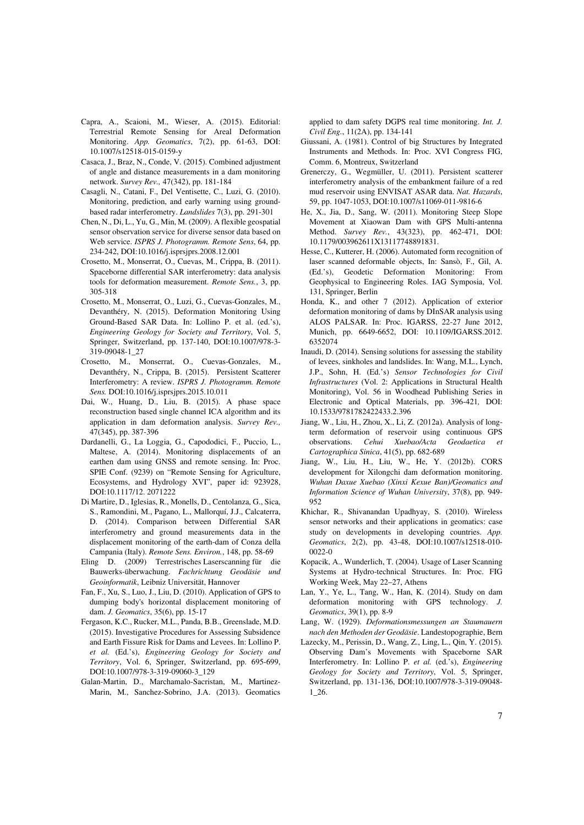- Capra, A., Scaioni, M., Wieser, A. (2015). Editorial: Terrestrial Remote Sensing for Areal Deformation Monitoring. *App. Geomatics*, 7(2), pp. 61-63, DOI: 10.1007/s12518-015-0159-y
- Casaca, J., Braz, N., Conde, V. (2015). Combined adjustment of angle and distance measurements in a dam monitoring network. *Survey Rev.,* 47(342), pp. 181-184
- Casagli, N., Catani, F., Del Ventisette, C., Luzi, G. (2010). Monitoring, prediction, and early warning using groundbased radar interferometry. *Landslides* 7(3), pp. 291-301
- Chen, N., Di, L., Yu, G., Min, M. (2009). A flexible geospatial sensor observation service for diverse sensor data based on Web service. *ISPRS J. Photogramm. Remote Sens*, 64, pp. 234-242, DOI:10.1016/j.isprsjprs.2008.12.001
- Crosetto, M., Monserrat, O., Cuevas, M., Crippa, B. (2011). Spaceborne differential SAR interferometry: data analysis tools for deformation measurement. *Remote Sens.*, 3, pp. 305-318
- Crosetto, M., Monserrat, O., Luzi, G., Cuevas-Gonzales, M., Devanthéry, N. (2015). Deformation Monitoring Using Ground-Based SAR Data. In: Lollino P. et al. (ed.'s), *Engineering Geology for Society and Territory*, Vol. 5, Springer, Switzerland, pp. 137-140, DOI:10.1007/978-3- 319-09048-1\_27
- Crosetto, M., Monserrat, O., Cuevas-Gonzales, M., Devanthéry, N., Crippa, B. (2015). Persistent Scatterer Interferometry: A review. *ISPRS J. Photogramm. Remote Sens.* DOI:10.1016/j.isprsjprs.2015.10.011
- Dai, W., Huang, D., Liu, B. (2015). A phase space reconstruction based single channel ICA algorithm and its application in dam deformation analysis. *Survey Rev.,* 47(345), pp. 387-396
- Dardanelli, G., La Loggia, G., Capododici, F., Puccio, L., Maltese, A. (2014). Monitoring displacements of an earthen dam using GNSS and remote sensing. In: Proc. SPIE Conf. (9239) on "Remote Sensing for Agriculture, Ecosystems, and Hydrology XVI", paper id: 923928, DOI:10.1117/12. 2071222
- Di Martire, D., Iglesias, R., Monells, D., Centolanza, G., Sica, S., Ramondini, M., Pagano, L., Mallorquí, J.J., Calcaterra, D. (2014). Comparison between Differential SAR interferometry and ground measurements data in the displacement monitoring of the earth-dam of Conza della Campania (Italy). *Remote Sens. Environ.*, 148, pp. 58-69
- Eling D. (2009) Terrestrisches Laserscanning für die Bauwerks-überwachung. *Fachrichtung Geodäsie und Geoinformatik*, Leibniz Universität, Hannover
- Fan, F., Xu, S., Luo, J., Liu, D. (2010). Application of GPS to dumping body's horizontal displacement monitoring of dam. *J. Geomatics*, 35(6), pp. 15-17
- Fergason, K.C., Rucker, M.L., Panda, B.B., Greenslade, M.D. (2015). Investigative Procedures for Assessing Subsidence and Earth Fissure Risk for Dams and Levees. In: Lollino P. *et al.* (Ed.'s), *Engineering Geology for Society and Territory*, Vol. 6, Springer, Switzerland, pp. 695-699, DOI:10.1007/978-3-319-09060-3\_129
- Galan-Martin, D., Marchamalo-Sacristan, M., Martinez-Marin, M., Sanchez-Sobrino, J.A. (2013). Geomatics

applied to dam safety DGPS real time monitoring. *Int. J. Civil Eng.*, 11(2A), pp. 134-141

- Giussani, A. (1981). Control of big Structures by Integrated Instruments and Methods. In: Proc. XVI Congress FIG, Comm. 6, Montreux, Switzerland
- Grenerczy, G., Wegmüller, U. (2011). Persistent scatterer interferometry analysis of the embankment failure of a red mud reservoir using ENVISAT ASAR data. *Nat. Hazards*, 59, pp. 1047-1053, DOI:10.1007/s11069-011-9816-6
- He, X., Jia, D., Sang, W. (2011). Monitoring Steep Slope Movement at Xiaowan Dam with GPS Multi-antenna Method. *Survey Rev.*, 43(323), pp. 462-471, DOI: 10.1179/003962611X13117748891831.
- Hesse, C., Kutterer, H. (2006). Automated form recognition of laser scanned deformable objects, In: Sansò, F., Gil, A. (Ed.'s), Geodetic Deformation Monitoring: From Geophysical to Engineering Roles. IAG Symposia, Vol. 131, Springer, Berlin
- Honda, K., and other 7 (2012). Application of exterior deformation monitoring of dams by DInSAR analysis using ALOS PALSAR. In: Proc. IGARSS, 22-27 June 2012, Munich, pp. 6649-6652, DOI: 10.1109/IGARSS.2012. 6352074
- Inaudi, D. (2014). Sensing solutions for assessing the stability of levees, sinkholes and landslides. In: Wang, M.L., Lynch, J.P., Sohn, H. (Ed.'s) *Sensor Technologies for Civil Infrastructures* (Vol. 2: Applications in Structural Health Monitoring), Vol. 56 in Woodhead Publishing Series in Electronic and Optical Materials, pp. 396-421*,* DOI: 10.1533/9781782422433.2.396
- Jiang, W., Liu, H., Zhou, X., Li, Z. (2012a). Analysis of longterm deformation of reservoir using continuous GPS observations. *Cehui Xuebao/Acta Geodaetica et Cartographica Sinica*, 41(5), pp. 682-689
- Jiang, W., Liu, H., Liu, W., He, Y. (2012b). CORS development for Xilongchi dam deformation monitoring. *Wuhan Daxue Xuebao (Xinxi Kexue Ban)/Geomatics and Information Science of Wuhan University*, 37(8), pp. 949- 952
- Khichar, R., Shivanandan Upadhyay, S. (2010). Wireless sensor networks and their applications in geomatics: case study on developments in developing countries. *App. Geomatics*, 2(2), pp. 43-48, DOI:10.1007/s12518-010- 0022-0
- Kopacik, A., Wunderlich, T. (2004). Usage of Laser Scanning Systems at Hydro-technical Structures. In: Proc. FIG Working Week, May 22–27, Athens
- Lan, Y., Ye, L., Tang, W., Han, K. (2014). Study on dam deformation monitoring with GPS technology. *J. Geomatics*, 39(1), pp. 8-9
- Lang, W. (1929). *Deformationsmessungen an Staumauern nach den Methoden der Geodäsie*. Landestopographie, Bern
- Lazecky, M., Perissin, D., Wang, Z., Ling, L., Qin, Y. (2015). Observing Dam's Movements with Spaceborne SAR Interferometry. In: Lollino P. *et al.* (ed.'s), *Engineering Geology for Society and Territory*, Vol. 5, Springer, Switzerland, pp. 131-136, DOI:10.1007/978-3-319-09048- 1\_26.